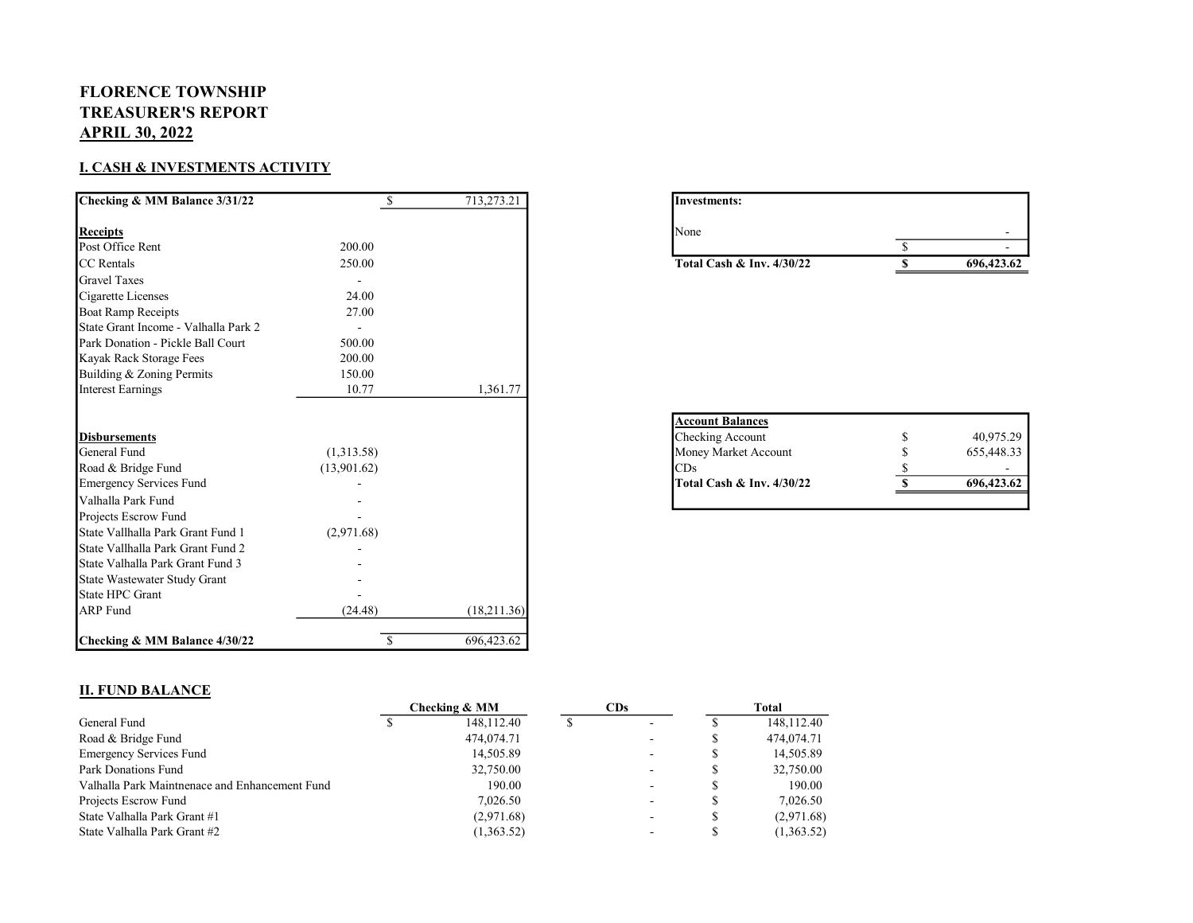## FLORENCE TOWNSHIP TREASURER'S REPORT APRIL 30, 2022

## I. CASH & INVESTMENTS ACTIVITY

| Checking & MM Balance 3/31/22        | <sup>\$</sup> | 713,273.21  | Investments:                                |    |            |
|--------------------------------------|---------------|-------------|---------------------------------------------|----|------------|
| <b>Receipts</b>                      |               |             | None                                        |    |            |
| Post Office Rent                     | 200.00        |             |                                             | \$ |            |
| <b>CC</b> Rentals                    | 250.00        |             | Total Cash & Inv. 4/30/22                   | S  | 696,423.62 |
| <b>Gravel Taxes</b>                  |               |             |                                             |    |            |
| Cigarette Licenses                   | 24.00         |             |                                             |    |            |
| <b>Boat Ramp Receipts</b>            | 27.00         |             |                                             |    |            |
| State Grant Income - Valhalla Park 2 |               |             |                                             |    |            |
| Park Donation - Pickle Ball Court    | 500.00        |             |                                             |    |            |
| Kayak Rack Storage Fees              | 200.00        |             |                                             |    |            |
| Building & Zoning Permits            | 150.00        |             |                                             |    |            |
| <b>Interest Earnings</b>             | 10.77         | 1,361.77    |                                             |    |            |
| <b>Disbursements</b>                 |               |             | <b>Account Balances</b><br>Checking Account |    | 40,975.29  |
| General Fund                         | (1,313.58)    |             | Money Market Account                        |    | 655,448.33 |
| Road & Bridge Fund                   | (13,901.62)   |             | CDs                                         |    |            |
| <b>Emergency Services Fund</b>       |               |             | Total Cash & Inv. 4/30/22                   |    | 696,423.62 |
| Valhalla Park Fund                   |               |             |                                             |    |            |
| Projects Escrow Fund                 |               |             |                                             |    |            |
| State Vallhalla Park Grant Fund 1    | (2,971.68)    |             |                                             |    |            |
| State Vallhalla Park Grant Fund 2    |               |             |                                             |    |            |
| State Valhalla Park Grant Fund 3     |               |             |                                             |    |            |
| State Wastewater Study Grant         |               |             |                                             |    |            |
| State HPC Grant                      |               |             |                                             |    |            |
| <b>ARP</b> Fund                      | (24.48)       | (18,211.36) |                                             |    |            |
| Checking & MM Balance 4/30/22        | -S            | 696,423.62  |                                             |    |            |

| Investments:                |            |
|-----------------------------|------------|
| None                        |            |
|                             |            |
| Total Cash & Inv. $4/30/22$ | 696,423.62 |

| 40,975.29  |
|------------|
| 655,448.33 |
|            |
| 696,423.62 |
|            |

## II. FUND BALANCE

|                                                | Checking & MM |              | CDs |                          | Total |            |
|------------------------------------------------|---------------|--------------|-----|--------------------------|-------|------------|
| General Fund                                   |               | 148, 112. 40 |     | $\sim$                   |       | 148,112.40 |
| Road & Bridge Fund                             |               | 474,074.71   |     | -                        |       | 474,074.71 |
| <b>Emergency Services Fund</b>                 |               | 14,505.89    |     |                          | S     | 14,505.89  |
| Park Donations Fund                            |               | 32,750.00    |     | $\overline{\phantom{a}}$ |       | 32,750.00  |
| Valhalla Park Maintnenace and Enhancement Fund |               | 190.00       |     | ۰                        |       | 190.00     |
| Projects Escrow Fund                           |               | 7,026.50     |     |                          |       | 7,026.50   |
| State Valhalla Park Grant #1                   |               | (2,971.68)   |     |                          | S     | (2,971.68) |
| State Valhalla Park Grant #2                   |               | (1,363.52)   |     |                          |       | (1,363.52) |